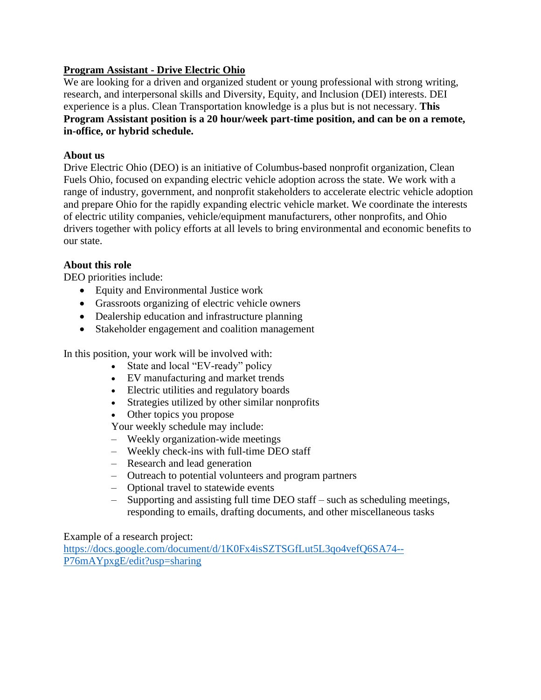## **Program Assistant - Drive Electric Ohio**

We are looking for a driven and organized student or young professional with strong writing, research, and interpersonal skills and Diversity, Equity, and Inclusion (DEI) interests. DEI experience is a plus. Clean Transportation knowledge is a plus but is not necessary. **This Program Assistant position is a 20 hour/week part-time position, and can be on a remote, in-office, or hybrid schedule.** 

### **About us**

Drive Electric Ohio (DEO) is an initiative of Columbus-based nonprofit organization, Clean Fuels Ohio, focused on expanding electric vehicle adoption across the state. We work with a range of industry, government, and nonprofit stakeholders to accelerate electric vehicle adoption and prepare Ohio for the rapidly expanding electric vehicle market. We coordinate the interests of electric utility companies, vehicle/equipment manufacturers, other nonprofits, and Ohio drivers together with policy efforts at all levels to bring environmental and economic benefits to our state.

# **About this role**

DEO priorities include:

- Equity and Environmental Justice work
- Grassroots organizing of electric vehicle owners
- Dealership education and infrastructure planning
- Stakeholder engagement and coalition management

In this position, your work will be involved with:

- State and local "EV-ready" policy
- EV manufacturing and market trends
- Electric utilities and regulatory boards
- Strategies utilized by other similar nonprofits
- Other topics you propose

Your weekly schedule may include:

- Weekly organization-wide meetings
- Weekly check-ins with full-time DEO staff
- Research and lead generation
- Outreach to potential volunteers and program partners
- Optional travel to statewide events
- Supporting and assisting full time DEO staff such as scheduling meetings, responding to emails, drafting documents, and other miscellaneous tasks

Example of a research project[:](https://docs.google.com/document/d/1K0Fx4isSZTSGfLut5L3qo4vefQ6SA74--P76mAYpxgE/edit?usp=sharing)

[https://docs.google.com/document/d/1K0Fx4isSZTSGfLut5L3qo4vefQ6SA74--](https://docs.google.com/document/d/1K0Fx4isSZTSGfLut5L3qo4vefQ6SA74--P76mAYpxgE/edit?usp=sharing) [P76mAYpxgE/edit?usp=sharing](https://docs.google.com/document/d/1K0Fx4isSZTSGfLut5L3qo4vefQ6SA74--P76mAYpxgE/edit?usp=sharing)